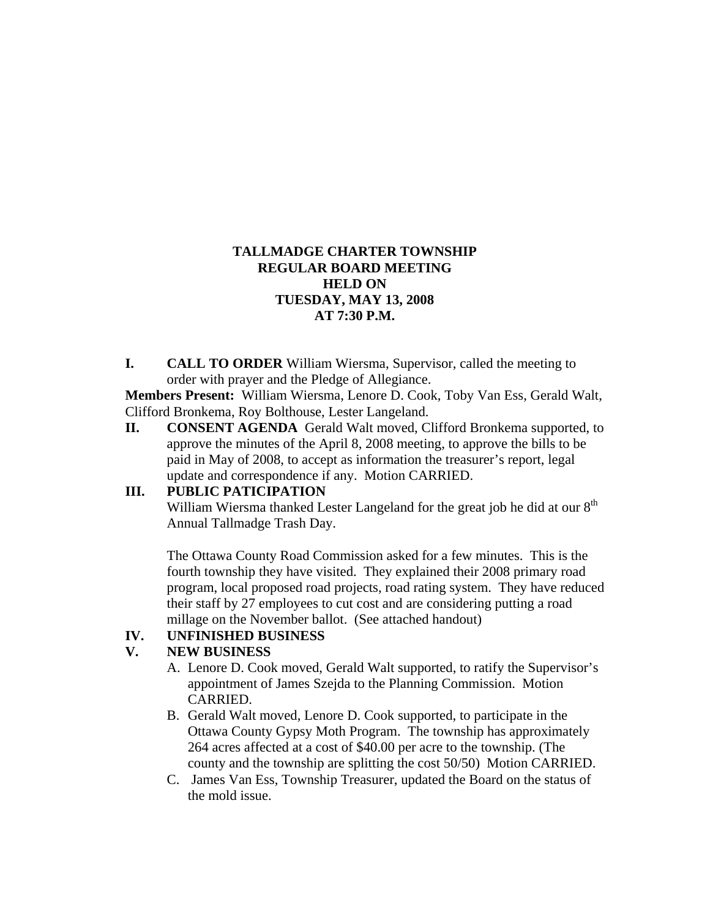## **TALLMADGE CHARTER TOWNSHIP REGULAR BOARD MEETING HELD ON TUESDAY, MAY 13, 2008 AT 7:30 P.M.**

**I. CALL TO ORDER** William Wiersma, Supervisor, called the meeting to order with prayer and the Pledge of Allegiance.

**Members Present:** William Wiersma, Lenore D. Cook, Toby Van Ess, Gerald Walt, Clifford Bronkema, Roy Bolthouse, Lester Langeland.

**II. CONSENT AGENDA** Gerald Walt moved, Clifford Bronkema supported, to approve the minutes of the April 8, 2008 meeting, to approve the bills to be paid in May of 2008, to accept as information the treasurer's report, legal update and correspondence if any. Motion CARRIED.

#### **III. PUBLIC PATICIPATION**

William Wiersma thanked Lester Langeland for the great job he did at our  $8<sup>th</sup>$ Annual Tallmadge Trash Day.

The Ottawa County Road Commission asked for a few minutes. This is the fourth township they have visited. They explained their 2008 primary road program, local proposed road projects, road rating system. They have reduced their staff by 27 employees to cut cost and are considering putting a road millage on the November ballot. (See attached handout)

### **IV. UNFINISHED BUSINESS**

### **V. NEW BUSINESS**

- A. Lenore D. Cook moved, Gerald Walt supported, to ratify the Supervisor's appointment of James Szejda to the Planning Commission. Motion CARRIED.
- B. Gerald Walt moved, Lenore D. Cook supported, to participate in the Ottawa County Gypsy Moth Program. The township has approximately 264 acres affected at a cost of \$40.00 per acre to the township. (The county and the township are splitting the cost 50/50) Motion CARRIED.
- C. James Van Ess, Township Treasurer, updated the Board on the status of the mold issue.